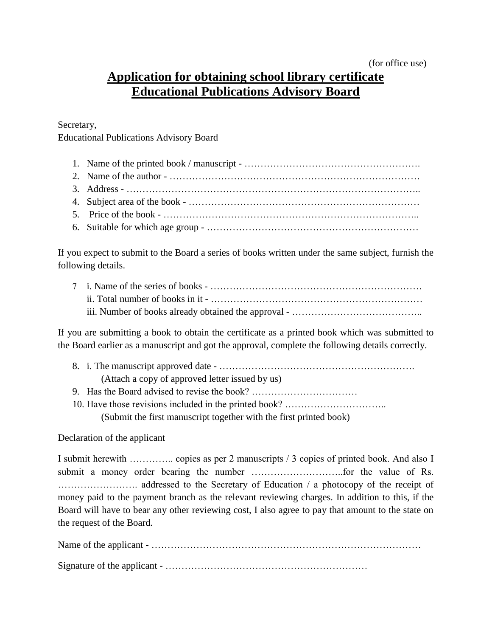## **Application for obtaining school library certificate Educational Publications Advisory Board**

Secretary,

Educational Publications Advisory Board

- 1. Name of the printed book / manuscript ………………………………………………. 2. Name of the author - …………………………………………………………………… 3. Address - ……………………………………………………………………………….. 4. Subject area of the book - ……………………………………………………………… 5. Price of the book - ……………………………………………………………………..
- 6. Suitable for which age group …………………………………………………………

If you expect to submit to the Board a series of books written under the same subject, furnish the following details.

If you are submitting a book to obtain the certificate as a printed book which was submitted to the Board earlier as a manuscript and got the approval, complete the following details correctly.

- 8. i. The manuscript approved date ……………………………………………………. (Attach a copy of approved letter issued by us) 9. Has the Board advised to revise the book? ……………………………
- 10. Have those revisions included in the printed book? …………………………..

(Submit the first manuscript together with the first printed book)

Declaration of the applicant

I submit herewith ………….. copies as per 2 manuscripts / 3 copies of printed book. And also I submit a money order bearing the number ………………………..for the value of Rs. ……………………. addressed to the Secretary of Education / a photocopy of the receipt of money paid to the payment branch as the relevant reviewing charges. In addition to this, if the Board will have to bear any other reviewing cost, I also agree to pay that amount to the state on the request of the Board.

Name of the applicant - ………………………………………………………………………… Signature of the applicant - ………………………………………………………